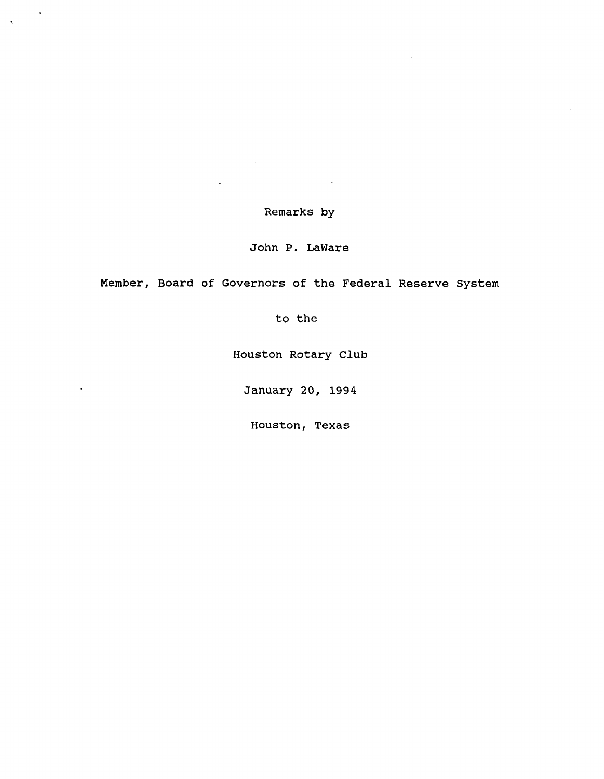**Remarks by**

 $\overline{\phantom{a}}$ 

 $\mathcal{L}_{\mathbf{A}}$ 

 $\hat{\mathbf{v}}$ 

## **John P. LaWare**

**Member, Board of Governors of the Federal Reserve System**

**to the**

**Houston Rotary Club**

**January 20, 1994**

**Houston, Texas**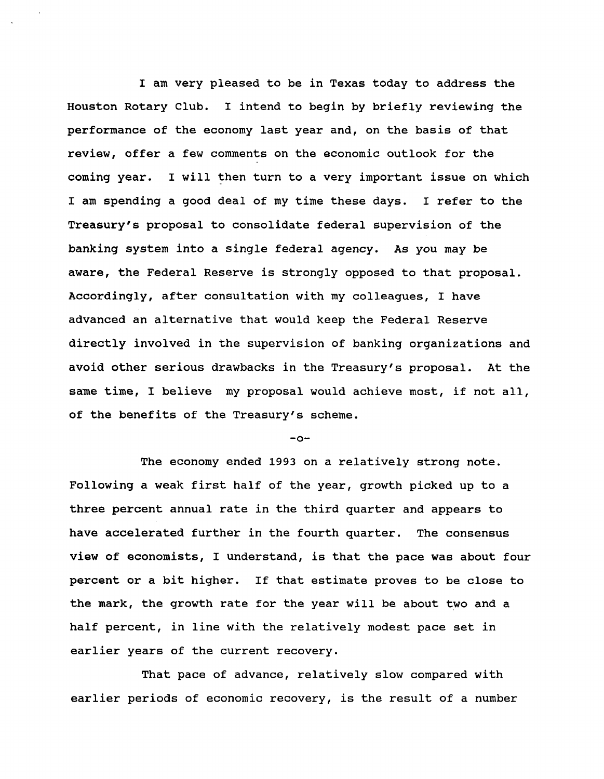**I am very pleased to be in Texas today to address the Houston Rotary Club. I intend to begin by briefly reviewing the performance of the economy last year and, on the basis of that review, offer a few comments on the economic outlook for the coming year. I will then turn to a very important issue on which I am spending a good deal of my time these days. I refer to the Treasury's proposal to consolidate federal supervision of the banking system into a single federal agency. As you may be aware, the Federal Reserve is strongly opposed to that proposal. Accordingly, after consultation with my colleagues, I have advanced an alternative that would keep the Federal Reserve directly involved in the supervision of banking organizations and avoid other serious drawbacks in the Treasury's proposal. At the same time, I believe my proposal would achieve most, if not all, of the benefits of the Treasury's scheme.**

**-o-**

**The economy ended 1993 on a relatively strong note. Following a weak first half of the year, growth picked up to a three percent annual rate in the third quarter and appears to have accelerated further in the fourth quarter. The consensus view of economists, I understand, is that the pace was about four percent or a bit higher. If that estimate proves to be close to the mark, the growth rate for the year will be about two and a half percent, in line with the relatively modest pace set in earlier years of the current recovery.**

**That pace of advance, relatively slow compared with earlier periods of economic recovery, is the result of a number**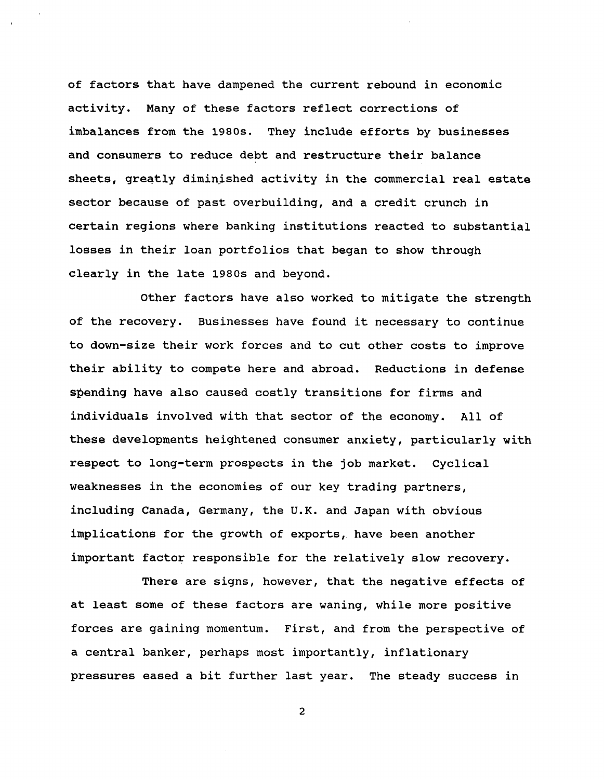**of factors that have dampened the current rebound in economic activity. Many of these factors reflect corrections of imbalances from the 1980s. They include efforts by businesses and consumers to reduce debt and restructure their balance sheets, greatly diminished activity in the commercial real estate sector because of past overbuilding, and a credit crunch in certain regions where banking institutions reacted to substantial losses in their loan portfolios that began to show through clearly in the late 1980s and beyond.**

**Other factors have also worked to mitigate the strength of the recovery. Businesses have found it necessary to continue to down-size their work forces and to cut other costs to improve their ability to compete here and abroad. Reductions in defense spending have also caused costly transitions for firms and individuals involved with that sector of the economy. All of these developments heightened consumer anxiety, particularly with respect to long-term prospects in the job market. Cyclical weaknesses in the economies of our key trading partners, including Canada, Germany, the U.K. and Japan with obvious implications for the growth of exports, have been another important factor responsible for the relatively slow recovery.**

**There are signs, however, that the negative effects of at least some of these factors are waning, while more positive forces are gaining momentum. First, and from the perspective of a central banker, perhaps most importantly, inflationary pressures eased a bit further last year. The steady success in**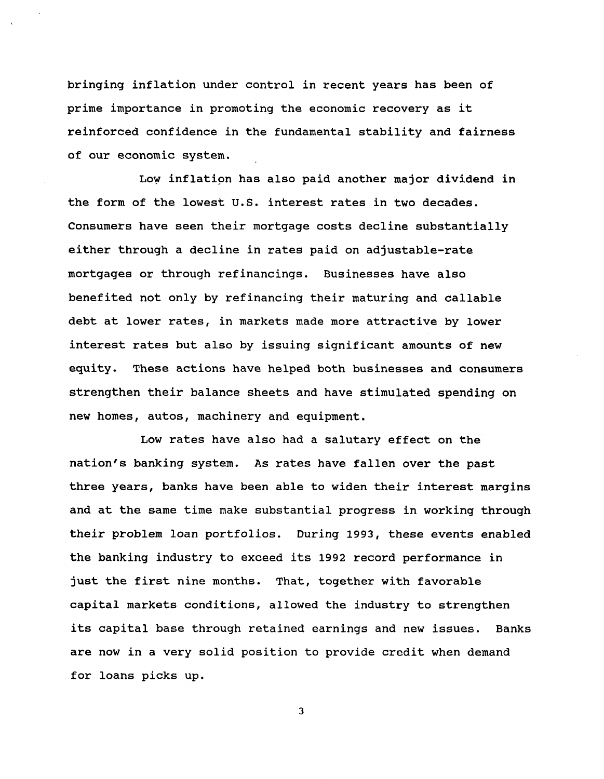**bringing inflation under control in recent years has been of prime importance in promoting the economic recovery as it reinforced confidence in the fundamental stability and fairness of our economic system.**

**Low inflation has also paid another major dividend in the form of the lowest U.S. interest rates in two decades. Consumers have seen their mortgage costs decline substantially either through a decline in rates paid on adjustable-rate mortgages or through refinancings. Businesses have also benefited not only by refinancing their maturing and callable debt at lower rates, in markets made more attractive by lower interest rates but also by issuing significant amounts of new equity. These actions have helped both businesses and consumers strengthen their balance sheets and have stimulated spending on new homes, autos, machinery and equipment.**

**Low rates have also had a salutary effect on the nation's banking system. As rates have fallen over the past three years, banks have been able to widen their interest margins and at the same time make substantial progress in working through their problem loan portfolios. During 1993, these events enabled the banking industry to exceed its 1992 record performance in just the first nine months. That, together with favorable capital markets conditions, allowed the industry to strengthen its capital base through retained earnings and new issues. Banks are now in a very solid position to provide credit when demand for loans picks up.**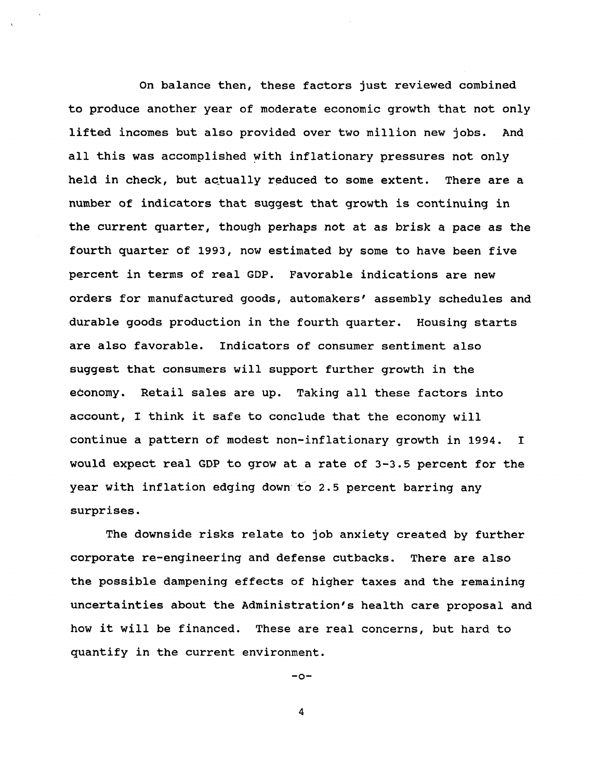**On balance then, these factors just reviewed combined to produce another year of moderate economic growth that not only lifted incomes but also provided over two million new jobs. And all this was accomplished with inflationary pressures not only held in check, but actually reduced to some extent. There are a number of indicators that suggest that growth is continuing in the current quarter, though perhaps not at as brisk a pace as the fourth quarter of 1993, now estimated by some to have been five percent in terms of real GDP. Favorable indications are new orders for manufactured goods, automakers' assembly schedules and durable goods production in the fourth quarter. Housing starts are also favorable. Indicators of consumer sentiment also suggest that consumers will support further growth in the economy. Retail sales are up. Taking all these factors into account, I think it safe to conclude that the economy will continue a pattern of modest non-inflationary growth in 1994. I would expect real GDP to grow at a rate of 3-3.5 percent for the year with inflation edging down to 2.5 percent barring any surprises.**

**The downside risks relate to job anxiety created by further corporate re-engineering and defense cutbacks. There are also the possible dampening effects of higher taxes and the remaining uncertainties about the Administration's health care proposal and how it will be financed. These are real concerns, but hard to quantify in the current environment.**

**-o-**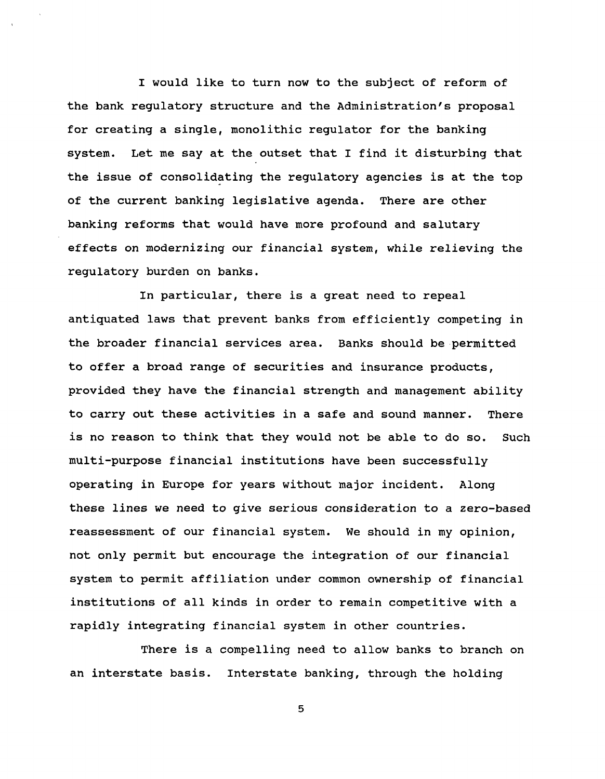**I would like to turn now to the subject of reform of the bank regulatory structure and the Administration's proposal for creating a single, monolithic regulator for the banking system. Let me say at the outset that I find it disturbing that the issue of consolidating the regulatory agencies is at the top of the current banking legislative agenda. There are other banking reforms that would have more profound and salutary effects on modernizing our financial system, while relieving the regulatory burden on banks.**

**In particular, there is a great need to repeal antiquated laws that prevent banks from efficiently competing in the broader financial services area. Banks should be permitted to offer a broad range of securities and insurance products, provided they have the financial strength and management ability to carry out these activities in a safe and sound manner. There is no reason to think that they would not be able to do so. Such multi-purpose financial institutions have been successfully operating in Europe for years without major incident. Along these lines we need to give serious consideration to a zero-based reassessment of our financial system. We should in my opinion, not only permit but encourage the integration of our financial system to permit affiliation under common ownership of financial institutions of all kinds in order to remain competitive with a rapidly integrating financial system in other countries.**

**There is a compelling need to allow banks to branch on an interstate basis. Interstate banking, through the holding**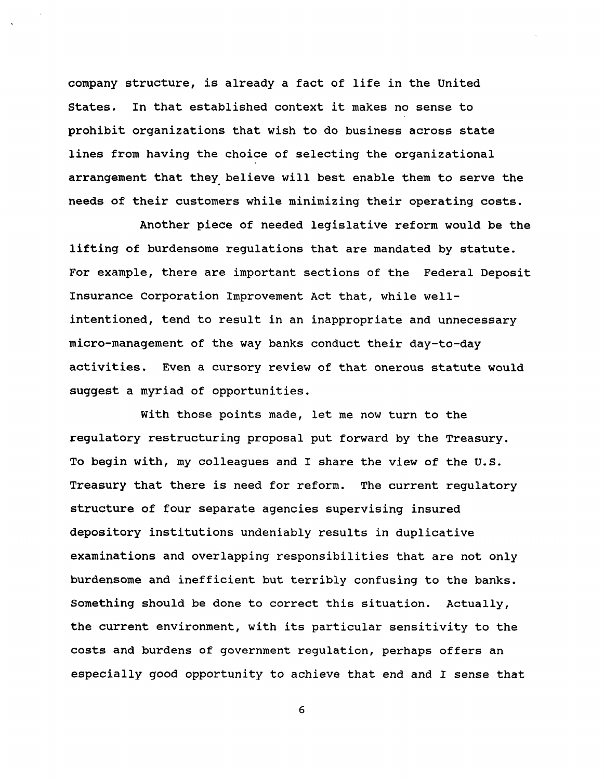**company structure, is already a fact of life in the United States. In that established context it makes no sense to prohibit organizations that wish to do business across state lines from having the choice of selecting the organizational arrangement that they believe will best enable them to serve the needs of their customers while minimizing their operating costs.**

**Another piece of needed legislative reform would be the lifting of burdensome regulations that are mandated by statute. For example, there are important sections of the Federal Deposit Insurance Corporation Improvement Act that, while wellintentioned, tend to result in an inappropriate and unnecessary micro-management of the way banks conduct their day-to-day activities. Even a cursory review of that onerous statute would suggest a myriad of opportunities.**

**With those points made, let me now turn to the regulatory restructuring proposal put forward by the Treasury. To begin with, my colleagues and I share the view of the U.S. Treasury that there is need for reform. The current regulatory structure of four separate agencies supervising insured depository institutions undeniably results in duplicative examinations and overlapping responsibilities that are not only burdensome and inefficient but terribly confusing to the banks. Something should be done to correct this situation. Actually, the current environment, with its particular sensitivity to the costs and burdens of government regulation, perhaps offers an especially good opportunity to achieve that end and I sense that**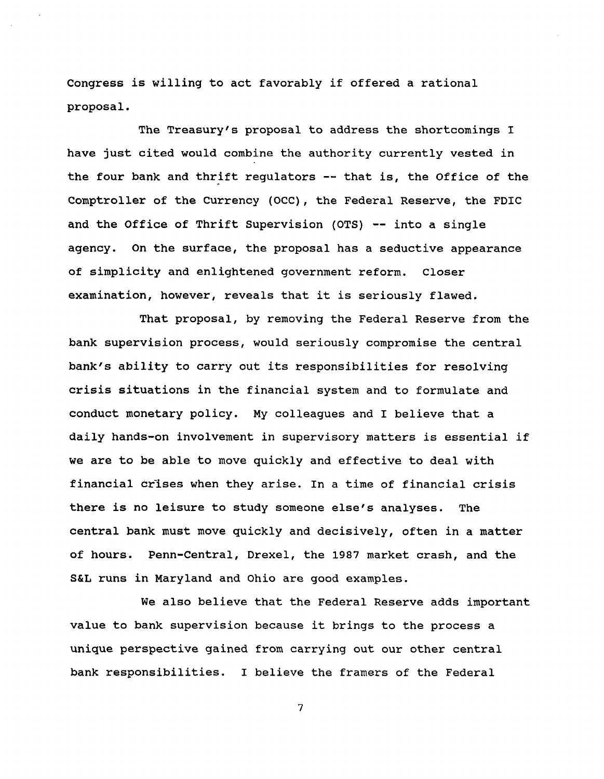**Congress is willing to act favorably if offered a rational proposal.**

**The Treasury's proposal to address the shortcomings I have just cited would combine the authority currently vested in the four bank and thrift regulators — that is, the Office of the Comptroller of the Currency (OCC), the Federal Reserve, the FDIC and the Office of Thrift Supervision (OTS) — into a single agency. On the surface, the proposal has a seductive appearance of simplicity and enlightened government reform. Closer examination, however, reveals that it is seriously flawed.**

**That proposal, by removing the Federal Reserve from the bank supervision process, would seriously compromise the central bank's ability to carry out its responsibilities for resolving crisis situations in the financial system and to formulate and conduct monetary policy. My colleagues and I believe that a daily hands-on involvement in supervisory matters is essential if we are to be able to move quickly and effective to deal with financial crises when they arise. In a time of financial crisis there is no leisure to study someone else's analyses. The central bank must move quickly and decisively, often in a matter of hours. Penn-Central, Drexel, the 1987 market crash, and the S&L runs in Maryland and Ohio are good examples.**

**We also believe that the Federal Reserve adds important value to bank supervision because it brings to the process a unique perspective gained from carrying out our other central bank responsibilities. I believe the framers of the Federal**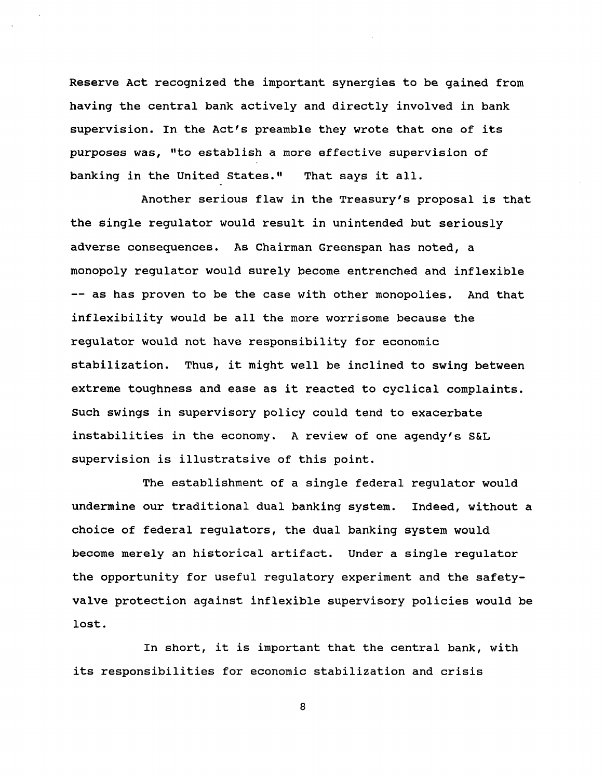**Reserve Act recognized the important synergies to be gained from having the central bank actively and directly involved in bank supervision. In the Act's preamble they wrote that one of its purposes was, "to establish a more effective supervision of banking in the United States." That says it all.**

**Another serious flaw in the Treasury's proposal is that the single regulator would result in unintended but seriously adverse consequences. As Chairman Greenspan has noted, a monopoly regulator would surely become entrenched and inflexible — as has proven to be the case with other monopolies. And that inflexibility would be all the more worrisome because the regulator would not have responsibility for economic stabilization. Thus, it might well be inclined to swing between extreme toughness and ease as it reacted to cyclical complaints. Such swings in supervisory policy could tend to exacerbate instabilities in the economy. A review of one agendy's S&L supervision is illustratsive of this point.**

**The establishment of a single federal regulator would undermine our traditional dual banking system. Indeed, without a choice of federal regulators, the dual banking system would become merely an historical artifact. Under a single regulator the opportunity for useful regulatory experiment and the safetyvalve protection against inflexible supervisory policies would be lost.**

**In short, it is important that the central bank, with its responsibilities for economic stabilization and crisis**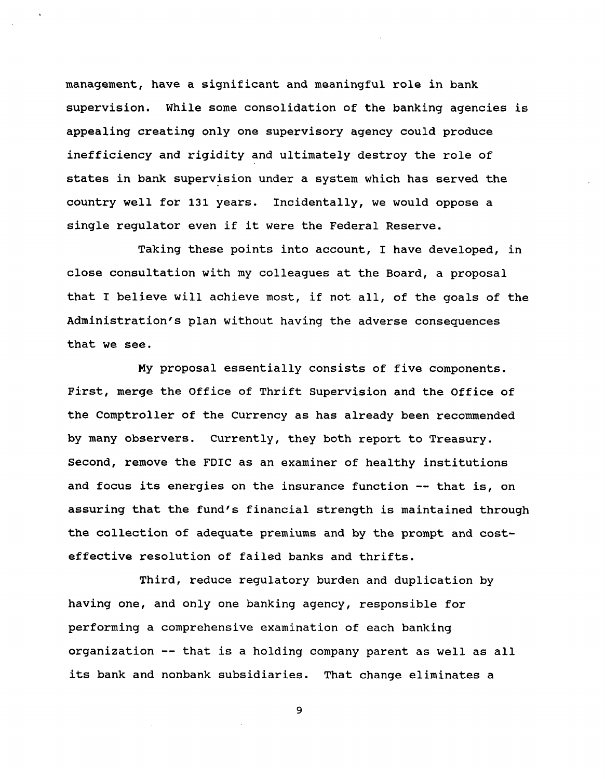**management, have a significant and meaningful role in bank supervision. While some consolidation of the banking agencies is appealing creating only one supervisory agency could produce inefficiency and rigidity and ultimately destroy the role of states in bank supervision under a system which has served the country well for 131 years. Incidentally, we would oppose a single regulator even if it were the Federal Reserve.**

**Taking these points into account, I have developed, in close consultation with my colleagues at the Board, a proposal that I believe will achieve most, if not all, of the goals of the Administration's plan without having the adverse consequences that we see.**

**My proposal essentially consists of five components. First, merge the Office of Thrift Supervision and the Office of the Comptroller of the Currency as has already been recommended by many observers. Currently, they both report to Treasury. Second, remove the FDIC as an examiner of healthy institutions and focus its energies on the insurance function — that is, on assuring that the fund's financial strength is maintained through the collection of adequate premiums and by the prompt and costeffective resolution of failed banks and thrifts.**

**Third, reduce regulatory burden and duplication by having one, and only one banking agency, responsible for performing a comprehensive examination of each banking organization — that is a holding company parent as well as all its bank and nonbank subsidiaries. That change eliminates a**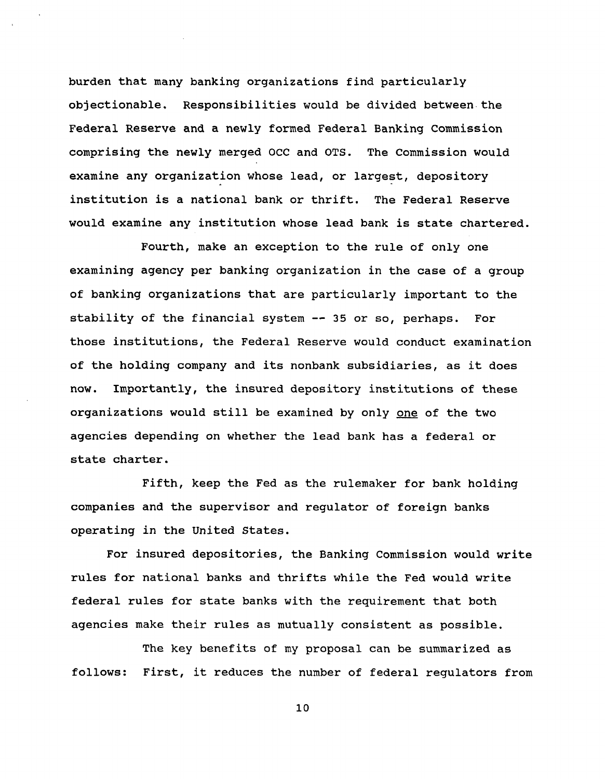**burden that many banking organizations find particularly objectionable. Responsibilities would be divided between the Federal Reserve and a newly formed Federal Banking Commission comprising the newly merged OCC and OTS. The Commission would examine any organization whose lead, or largest, depository institution is a national bank or thrift. The Federal Reserve would examine any institution whose lead bank is state chartered.**

**Fourth, make an exception to the rule of only one examining agency per banking organization in the case of a group of banking organizations that are particularly important to the stability of the financial system — 35 or so, perhaps. For those institutions, the Federal Reserve would conduct examination of the holding company and its nonbank subsidiaries, as it does now. Importantly, the insured depository institutions of these organizations would still be examined by only one of the two agencies depending on whether the lead bank has a federal or state charter.**

**Fifth, keep the Fed as the rulemaker for bank holding companies and the supervisor and regulator of foreign banks operating in the United States.**

**For insured depositories, the Banking Commission would write rules for national banks and thrifts while the Fed would write federal rules for state banks with the requirement that both agencies make their rules as mutually consistent as possible.**

**The key benefits of my proposal can be summarized as follows: First, it reduces the number of federal regulators from**